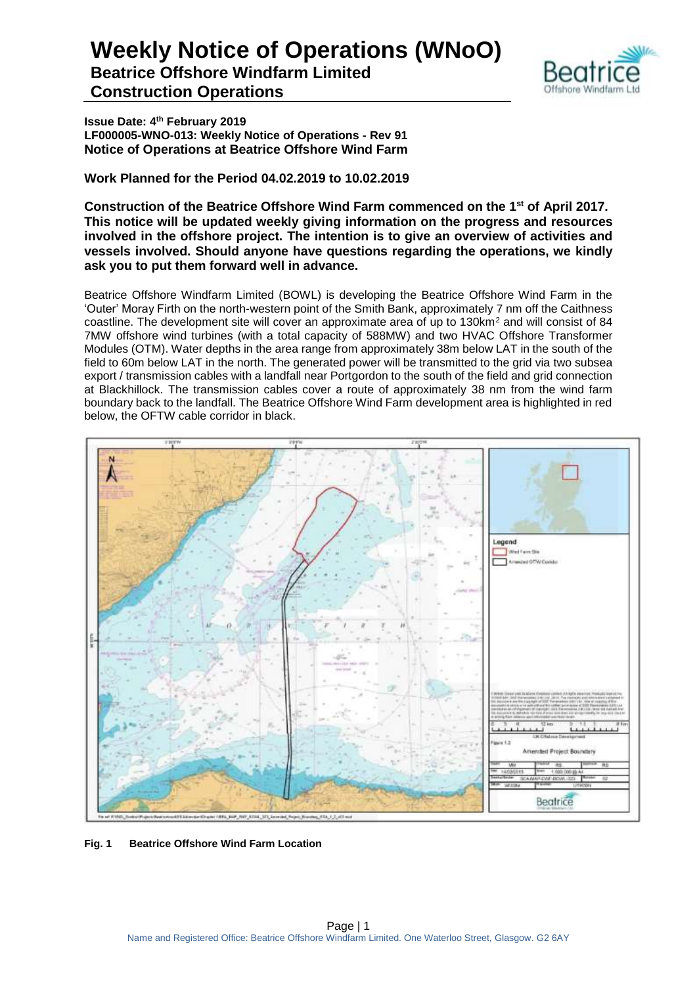

**Issue Date: 4th February 2019 LF000005-WNO-013: Weekly Notice of Operations - Rev 91 Notice of Operations at Beatrice Offshore Wind Farm**

**Work Planned for the Period 04.02.2019 to 10.02.2019**

**Construction of the Beatrice Offshore Wind Farm commenced on the 1 st of April 2017. This notice will be updated weekly giving information on the progress and resources involved in the offshore project. The intention is to give an overview of activities and vessels involved. Should anyone have questions regarding the operations, we kindly ask you to put them forward well in advance.** 

Beatrice Offshore Windfarm Limited (BOWL) is developing the Beatrice Offshore Wind Farm in the 'Outer' Moray Firth on the north-western point of the Smith Bank, approximately 7 nm off the Caithness coastline. The development site will cover an approximate area of up to 130km<sup>2</sup> and will consist of 84 7MW offshore wind turbines (with a total capacity of 588MW) and two HVAC Offshore Transformer Modules (OTM). Water depths in the area range from approximately 38m below LAT in the south of the field to 60m below LAT in the north. The generated power will be transmitted to the grid via two subsea export / transmission cables with a landfall near Portgordon to the south of the field and grid connection at Blackhillock. The transmission cables cover a route of approximately 38 nm from the wind farm boundary back to the landfall. The Beatrice Offshore Wind Farm development area is highlighted in red below, the OFTW cable corridor in black.



**Fig. 1 Beatrice Offshore Wind Farm Location**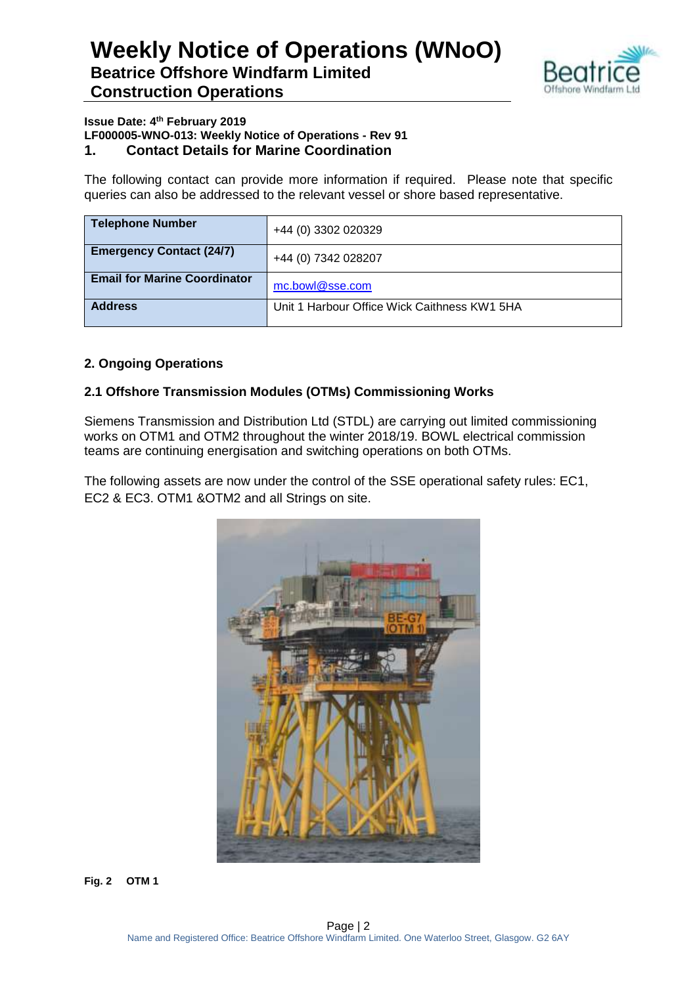

#### **Issue Date: 4th February 2019 LF000005-WNO-013: Weekly Notice of Operations - Rev 91**

**1. Contact Details for Marine Coordination**

The following contact can provide more information if required. Please note that specific queries can also be addressed to the relevant vessel or shore based representative.

| <b>Telephone Number</b>             | +44 (0) 3302 020329                          |
|-------------------------------------|----------------------------------------------|
| <b>Emergency Contact (24/7)</b>     | +44 (0) 7342 028207                          |
| <b>Email for Marine Coordinator</b> | mc.bowl@sse.com                              |
| <b>Address</b>                      | Unit 1 Harbour Office Wick Caithness KW1 5HA |

#### **2. Ongoing Operations**

#### **2.1 Offshore Transmission Modules (OTMs) Commissioning Works**

Siemens Transmission and Distribution Ltd (STDL) are carrying out limited commissioning works on OTM1 and OTM2 throughout the winter 2018/19. BOWL electrical commission teams are continuing energisation and switching operations on both OTMs.

The following assets are now under the control of the SSE operational safety rules: EC1, EC2 & EC3. OTM1 &OTM2 and all Strings on site.



**Fig. 2 OTM 1**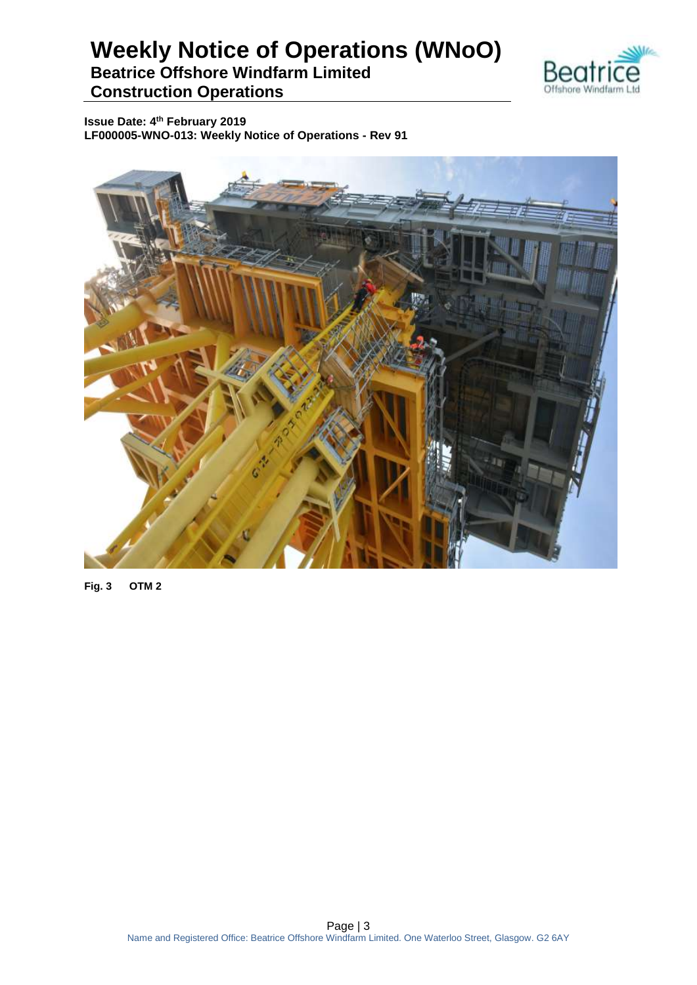

**Issue Date: 4th February 2019 LF000005-WNO-013: Weekly Notice of Operations - Rev 91**



**Fig. 3 OTM 2**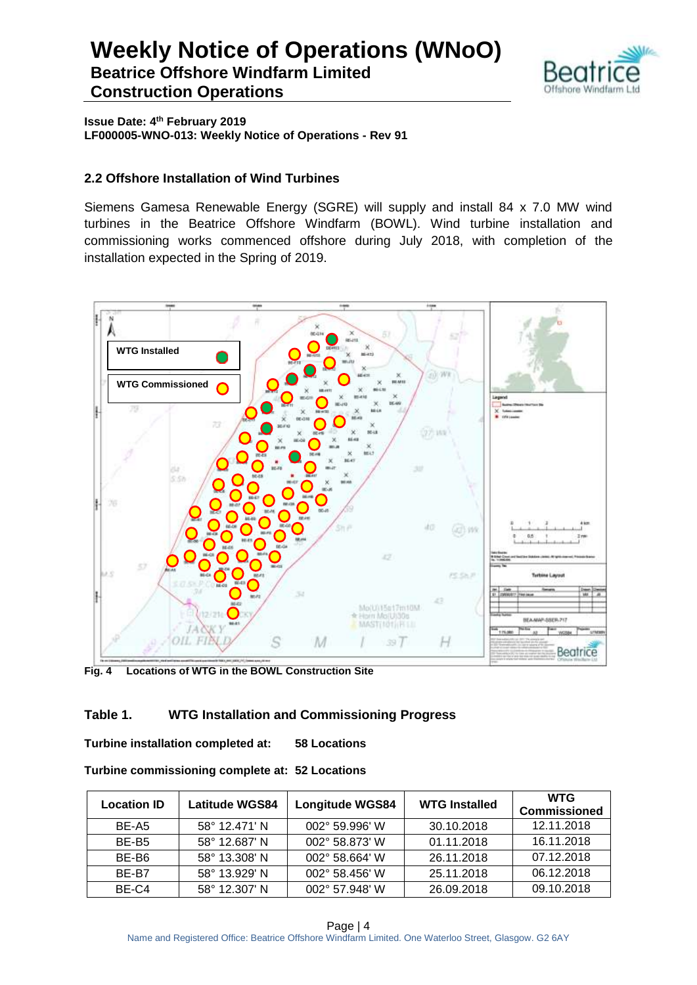

**Issue Date: 4th February 2019 LF000005-WNO-013: Weekly Notice of Operations - Rev 91**

#### **2.2 Offshore Installation of Wind Turbines**

Siemens Gamesa Renewable Energy (SGRE) will supply and install 84 x 7.0 MW wind turbines in the Beatrice Offshore Windfarm (BOWL). Wind turbine installation and commissioning works commenced offshore during July 2018, with completion of the installation expected in the Spring of 2019.



**Fig. 4 Locations of WTG in the BOWL Construction Site**

#### **Table 1. WTG Installation and Commissioning Progress**

**Turbine installation completed at: 58 Locations**

| Turbine commissioning complete at: 52 Locations |  |  |
|-------------------------------------------------|--|--|
|-------------------------------------------------|--|--|

| <b>Location ID</b> | <b>Latitude WGS84</b> | <b>Longitude WGS84</b> | <b>WTG Installed</b> | <b>WTG</b><br><b>Commissioned</b> |
|--------------------|-----------------------|------------------------|----------------------|-----------------------------------|
| BE-A5              | 58° 12.471' N         | 002° 59.996' W         | 30.10.2018           | 12.11.2018                        |
| BE-B <sub>5</sub>  | 58° 12.687' N         | 002° 58.873' W         | 01.11.2018           | 16.11.2018                        |
| BE-B6              | 58° 13.308' N         | 002° 58.664' W         | 26.11.2018           | 07.12.2018                        |
| BE-B7              | 58° 13.929' N         | 002° 58.456' W         | 25.11.2018           | 06.12.2018                        |
| BE-C4              | 58° 12.307' N         | 002° 57.948' W         | 26.09.2018           | 09.10.2018                        |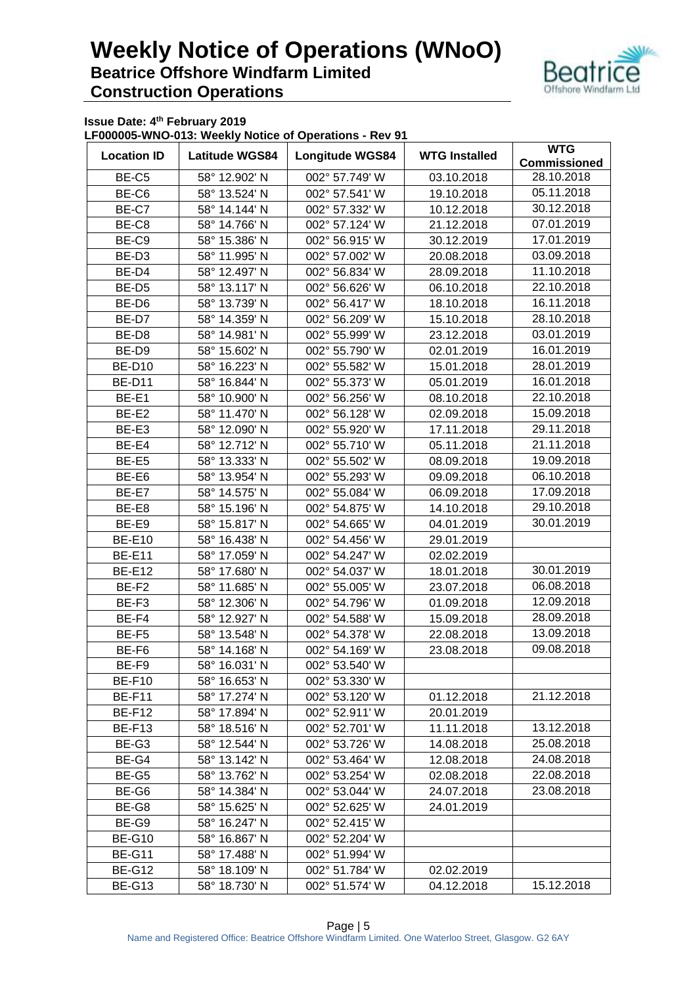

**Issue Date: 4th February 2019**

**LF000005-WNO-013: Weekly Notice of Operations - Rev 91**

| <b>Location ID</b> | <b>Latitude WGS84</b> | Longitude WGS84 | <b>WTG Installed</b> | <b>WTG</b><br><b>Commissioned</b> |  |
|--------------------|-----------------------|-----------------|----------------------|-----------------------------------|--|
|                    |                       | 002° 57.749' W  |                      | 28.10.2018                        |  |
| BE-C5              | 58° 12.902' N         |                 | 03.10.2018           | 05.11.2018                        |  |
| BE-C6              | 58° 13.524' N         | 002° 57.541' W  | 19.10.2018           |                                   |  |
| BE-C7              | 58° 14.144' N         | 002° 57.332' W  | 10.12.2018           | 30.12.2018                        |  |
| BE-C8              | 58° 14.766' N         | 002° 57.124' W  | 21.12.2018           | 07.01.2019                        |  |
| BE-C9              | 58° 15.386' N         | 002° 56.915' W  | 30.12.2019           | 17.01.2019                        |  |
| BE-D <sub>3</sub>  | 58° 11.995' N         | 002° 57.002' W  | 20.08.2018           | 03.09.2018                        |  |
| BE-D4              | 58° 12.497' N         | 002° 56.834' W  | 28.09.2018           | 11.10.2018                        |  |
| BE-D <sub>5</sub>  | 58° 13.117' N         | 002° 56.626' W  | 06.10.2018           | 22.10.2018                        |  |
| BE-D6              | 58° 13.739' N         | 002° 56.417' W  | 18.10.2018           | 16.11.2018                        |  |
| BE-D7              | 58° 14.359' N         | 002° 56.209' W  | 15.10.2018           | 28.10.2018                        |  |
| BE-D8              | 58° 14.981' N         | 002° 55.999' W  | 23.12.2018           | 03.01.2019                        |  |
| BE-D9              | 58° 15.602' N         | 002° 55.790' W  | 02.01.2019           | 16.01.2019                        |  |
| <b>BE-D10</b>      | 58° 16.223' N         | 002° 55.582' W  | 15.01.2018           | 28.01.2019                        |  |
| <b>BE-D11</b>      | 58° 16.844' N         | 002° 55.373' W  | 05.01.2019           | 16.01.2018                        |  |
| BE-E1              | 58° 10.900' N         | 002° 56.256' W  | 08.10.2018           | 22.10.2018                        |  |
| BE-E2              | 58° 11.470' N         | 002° 56.128' W  | 02.09.2018           | 15.09.2018                        |  |
| BE-E3              | 58° 12.090' N         | 002° 55.920' W  | 17.11.2018           | 29.11.2018                        |  |
| BE-E4              | 58° 12.712' N         | 002° 55.710' W  | 05.11.2018           | 21.11.2018                        |  |
| BE-E5              | 58° 13.333' N         | 002° 55.502' W  | 08.09.2018           | 19.09.2018                        |  |
| BE-E6              | 58° 13.954' N         | 002° 55.293' W  | 09.09.2018           | 06.10.2018                        |  |
| BE-E7              | 58° 14.575' N         | 002° 55.084' W  | 06.09.2018           | 17.09.2018                        |  |
| BE-E8              | 58° 15.196' N         | 002° 54.875' W  | 14.10.2018           | 29.10.2018                        |  |
| BE-E9              | 58° 15.817' N         | 002° 54.665' W  | 04.01.2019           | 30.01.2019                        |  |
| <b>BE-E10</b>      | 58° 16.438' N         | 002° 54.456' W  | 29.01.2019           |                                   |  |
| <b>BE-E11</b>      | 58° 17.059' N         | 002° 54.247' W  | 02.02.2019           |                                   |  |
| <b>BE-E12</b>      | 58° 17.680' N         | 002° 54.037' W  | 18.01.2018           | 30.01.2019                        |  |
| BE-F2              | 58° 11.685' N         | 002° 55.005' W  | 23.07.2018           | 06.08.2018                        |  |
| BE-F3              | 58° 12.306' N         | 002° 54.796' W  | 01.09.2018           | 12.09.2018                        |  |
| BE-F4              | 58° 12.927' N         | 002° 54.588' W  | 15.09.2018           | 28.09.2018                        |  |
| BE-F5              | 58° 13.548' N         | 002° 54.378' W  | 22.08.2018           | 13.09.2018                        |  |
| BE-F6              | 58° 14.168' N         | 002° 54.169' W  | 23.08.2018           | 09.08.2018                        |  |
|                    |                       |                 |                      |                                   |  |
| BE-F9              | 58° 16.031' N         | 002° 53.540' W  |                      |                                   |  |
| <b>BE-F10</b>      | 58° 16.653' N         | 002° 53.330' W  |                      |                                   |  |
| BE-F11             | 58° 17.274' N         | 002° 53.120' W  | 01.12.2018           | 21.12.2018                        |  |
| <b>BE-F12</b>      | 58° 17.894' N         | 002° 52.911' W  | 20.01.2019           |                                   |  |
| <b>BE-F13</b>      | 58° 18.516' N         | 002° 52.701' W  | 11.11.2018           | 13.12.2018                        |  |
| BE-G3              | 58° 12.544' N         | 002° 53.726' W  | 14.08.2018           | 25.08.2018                        |  |
| BE-G4              | 58° 13.142' N         | 002° 53.464' W  | 12.08.2018           | 24.08.2018                        |  |
| BE-G5              | 58° 13.762' N         | 002° 53.254' W  | 02.08.2018           | 22.08.2018                        |  |
| BE-G6              | 58° 14.384' N         | 002° 53.044' W  | 24.07.2018           | 23.08.2018                        |  |
| BE-G8              | 58° 15.625' N         | 002° 52.625' W  | 24.01.2019           |                                   |  |
| BE-G9              | 58° 16.247' N         | 002° 52.415' W  |                      |                                   |  |
| <b>BE-G10</b>      | 58° 16.867' N         | 002° 52.204' W  |                      |                                   |  |
| <b>BE-G11</b>      | 58° 17.488' N         | 002° 51.994' W  |                      |                                   |  |
| <b>BE-G12</b>      | 58° 18.109' N         | 002° 51.784' W  | 02.02.2019           |                                   |  |
| <b>BE-G13</b>      | 58° 18.730' N         | 002° 51.574' W  | 04.12.2018           | 15.12.2018                        |  |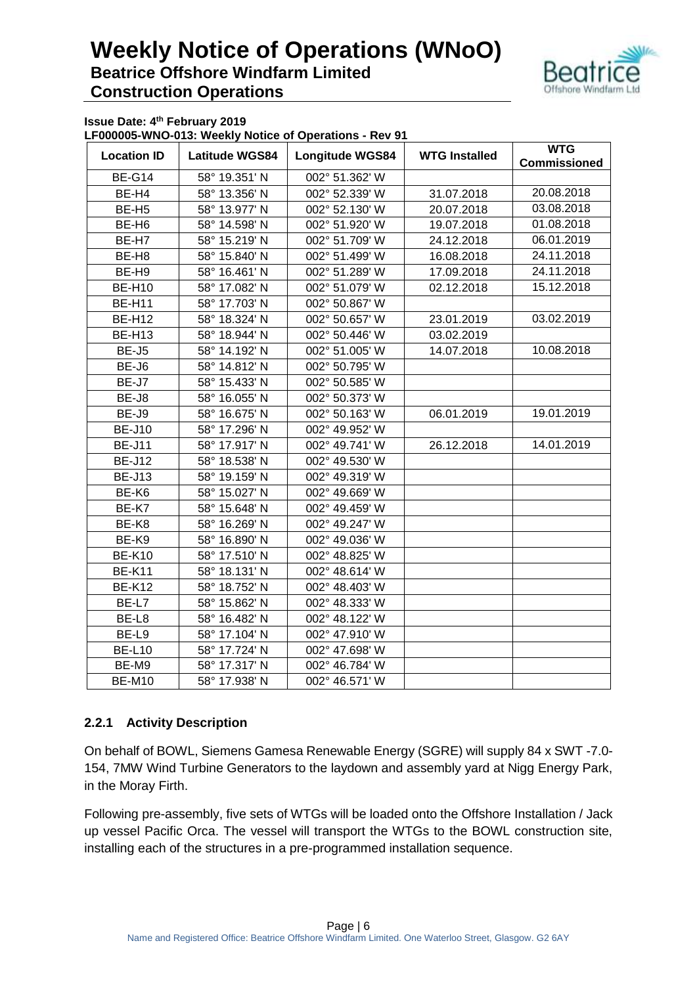

**Issue Date: 4th February 2019**

**LF000005-WNO-013: Weekly Notice of Operations - Rev 91**

| <b>Location ID</b> | <b>Latitude WGS84</b><br><b>Longitude WGS84</b> |                | <b>WTG Installed</b> | <b>WTG</b><br><b>Commissioned</b> |
|--------------------|-------------------------------------------------|----------------|----------------------|-----------------------------------|
| <b>BE-G14</b>      | 58° 19.351' N                                   | 002° 51.362' W |                      |                                   |
| BE-H4              | 58° 13.356' N                                   | 002° 52.339' W | 31.07.2018           | 20.08.2018                        |
| BE-H <sub>5</sub>  | 58° 13.977' N                                   | 002° 52.130' W | 20.07.2018           | 03.08.2018                        |
| BE-H <sub>6</sub>  | 58° 14.598' N                                   | 002° 51.920' W | 19.07.2018           | 01.08.2018                        |
| BE-H7              | 58° 15.219' N                                   | 002° 51.709' W | 24.12.2018           | 06.01.2019                        |
| BE-H8              | 58° 15.840' N                                   | 002° 51.499' W | 16.08.2018           | 24.11.2018                        |
| BE-H9              | 58° 16.461' N                                   | 002° 51.289' W | 17.09.2018           | 24.11.2018                        |
| <b>BE-H10</b>      | 58° 17.082' N                                   | 002° 51.079' W | 02.12.2018           | 15.12.2018                        |
| <b>BE-H11</b>      | 58° 17.703' N                                   | 002° 50.867' W |                      |                                   |
| <b>BE-H12</b>      | 58° 18.324' N                                   | 002° 50.657' W | 23.01.2019           | 03.02.2019                        |
| <b>BE-H13</b>      | 58° 18.944' N                                   | 002° 50.446' W | 03.02.2019           |                                   |
| BE-J5              | 58° 14.192' N                                   | 002° 51.005' W | 14.07.2018           | 10.08.2018                        |
| BE-J6              | 58° 14.812' N                                   | 002° 50.795' W |                      |                                   |
| BE-J7              | 58° 15.433' N                                   | 002° 50.585' W |                      |                                   |
| BE-J8              | 58° 16.055' N                                   | 002° 50.373' W |                      |                                   |
| BE-J9              | 58° 16.675' N                                   | 002° 50.163' W | 06.01.2019           | 19.01.2019                        |
| <b>BE-J10</b>      | 58° 17.296' N                                   | 002° 49.952' W |                      |                                   |
| <b>BE-J11</b>      | 58° 17.917' N                                   | 002° 49.741' W | 26.12.2018           | 14.01.2019                        |
| <b>BE-J12</b>      | 58° 18.538' N                                   | 002° 49.530' W |                      |                                   |
| <b>BE-J13</b>      | 58° 19.159' N                                   | 002° 49.319' W |                      |                                   |
| BE-K6              | 58° 15.027' N                                   | 002° 49.669' W |                      |                                   |
| BE-K7              | 58° 15.648' N                                   | 002° 49.459' W |                      |                                   |
| BE-K8              | 58° 16.269' N                                   | 002° 49.247' W |                      |                                   |
| BE-K9              | 58° 16.890' N                                   | 002° 49.036' W |                      |                                   |
| <b>BE-K10</b>      | 58° 17.510' N                                   | 002° 48.825' W |                      |                                   |
| <b>BE-K11</b>      | 58° 18.131' N                                   | 002° 48.614' W |                      |                                   |
| <b>BE-K12</b>      | 58° 18.752' N                                   | 002° 48.403' W |                      |                                   |
| BE-L7              | 58° 15.862' N                                   | 002° 48.333' W |                      |                                   |
| BE-L8              | 58° 16.482' N                                   | 002° 48.122' W |                      |                                   |
| BE-L9              | 58° 17.104' N                                   | 002° 47.910' W |                      |                                   |
| <b>BE-L10</b>      | 58° 17.724' N                                   | 002° 47.698' W |                      |                                   |
| BE-M9              | 58° 17.317' N                                   | 002° 46.784' W |                      |                                   |
| <b>BE-M10</b>      | 58° 17.938' N                                   | 002° 46.571' W |                      |                                   |

#### **2.2.1 Activity Description**

On behalf of BOWL, Siemens Gamesa Renewable Energy (SGRE) will supply 84 x SWT -7.0- 154, 7MW Wind Turbine Generators to the laydown and assembly yard at Nigg Energy Park, in the Moray Firth.

Following pre-assembly, five sets of WTGs will be loaded onto the Offshore Installation / Jack up vessel Pacific Orca. The vessel will transport the WTGs to the BOWL construction site, installing each of the structures in a pre-programmed installation sequence.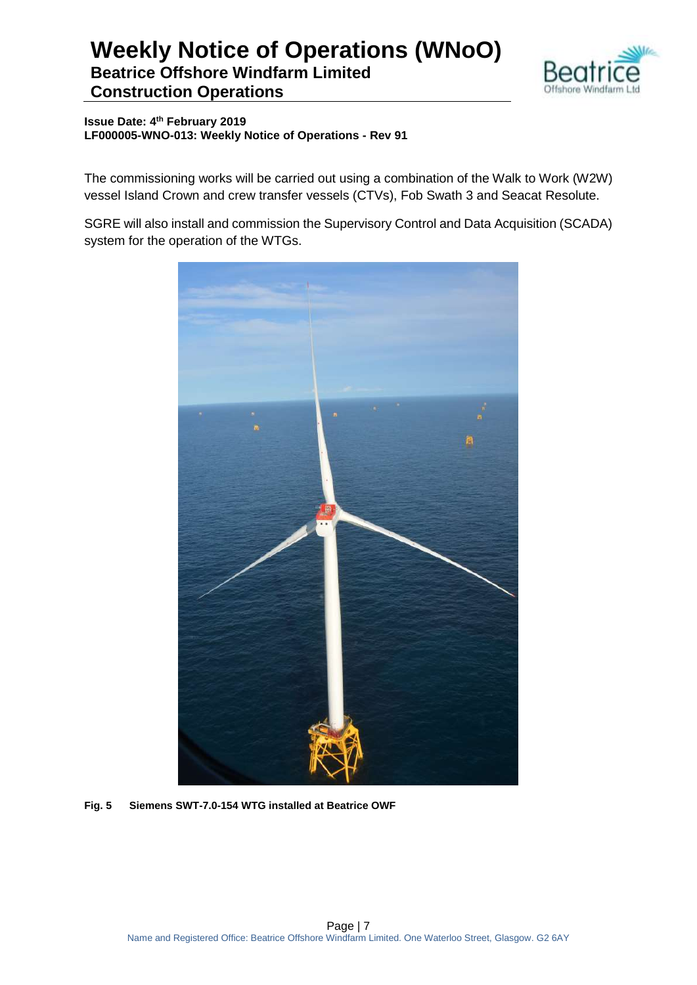

**Issue Date: 4th February 2019 LF000005-WNO-013: Weekly Notice of Operations - Rev 91**

The commissioning works will be carried out using a combination of the Walk to Work (W2W) vessel Island Crown and crew transfer vessels (CTVs), Fob Swath 3 and Seacat Resolute.

SGRE will also install and commission the Supervisory Control and Data Acquisition (SCADA) system for the operation of the WTGs.



**Fig. 5 Siemens SWT-7.0-154 WTG installed at Beatrice OWF**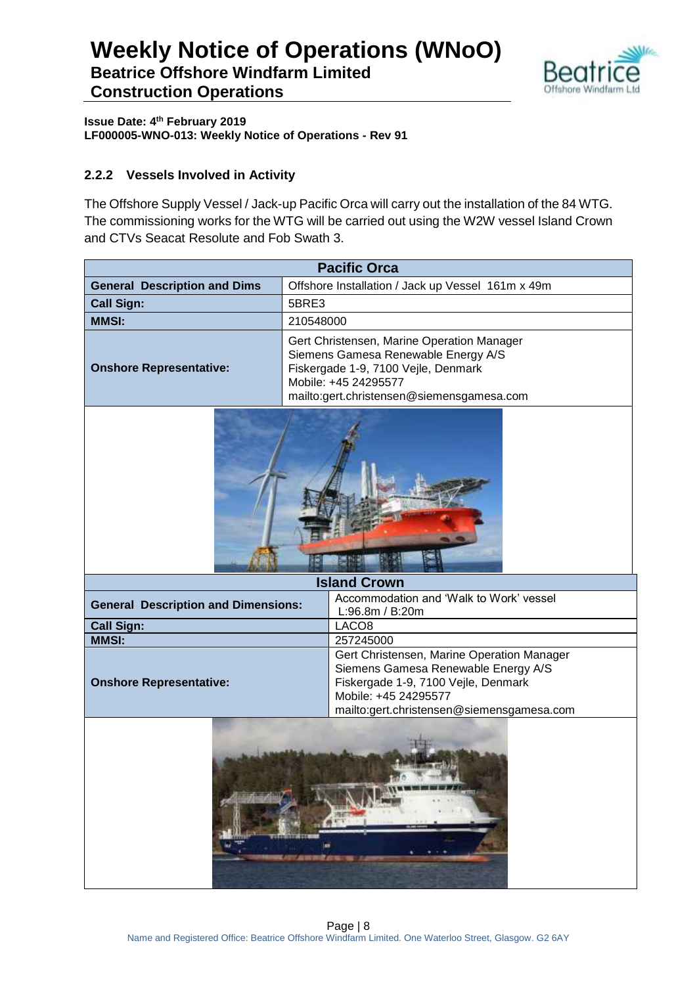

**Issue Date: 4th February 2019 LF000005-WNO-013: Weekly Notice of Operations - Rev 91**

#### **2.2.2 Vessels Involved in Activity**

The Offshore Supply Vessel / Jack-up Pacific Orca will carry out the installation of the 84 WTG. The commissioning works for the WTG will be carried out using the W2W vessel Island Crown and CTVs Seacat Resolute and Fob Swath 3.

| <b>Pacific Orca</b>                                                                                                                                                                                                             |                                                                                                                                                                                               |  |  |  |
|---------------------------------------------------------------------------------------------------------------------------------------------------------------------------------------------------------------------------------|-----------------------------------------------------------------------------------------------------------------------------------------------------------------------------------------------|--|--|--|
| <b>General Description and Dims</b>                                                                                                                                                                                             | Offshore Installation / Jack up Vessel 161m x 49m                                                                                                                                             |  |  |  |
| <b>Call Sign:</b>                                                                                                                                                                                                               | 5BRE3                                                                                                                                                                                         |  |  |  |
| <b>MMSI:</b>                                                                                                                                                                                                                    | 210548000                                                                                                                                                                                     |  |  |  |
| <b>Onshore Representative:</b>                                                                                                                                                                                                  | Gert Christensen, Marine Operation Manager<br>Siemens Gamesa Renewable Energy A/S<br>Fiskergade 1-9, 7100 Vejle, Denmark<br>Mobile: +45 24295577<br>mailto:gert.christensen@siemensgamesa.com |  |  |  |
|                                                                                                                                                                                                                                 |                                                                                                                                                                                               |  |  |  |
|                                                                                                                                                                                                                                 | <b>Island Crown</b>                                                                                                                                                                           |  |  |  |
| <b>General Description and Dimensions:</b>                                                                                                                                                                                      | Accommodation and 'Walk to Work' vessel<br>L:96.8m / B:20m                                                                                                                                    |  |  |  |
| <b>Call Sign:</b>                                                                                                                                                                                                               | LACO <sub>8</sub>                                                                                                                                                                             |  |  |  |
| <b>MMSI:</b>                                                                                                                                                                                                                    | 257245000                                                                                                                                                                                     |  |  |  |
| Gert Christensen, Marine Operation Manager<br>Siemens Gamesa Renewable Energy A/S<br><b>Onshore Representative:</b><br>Fiskergade 1-9, 7100 Vejle, Denmark<br>Mobile: +45 24295577<br>mailto:gert.christensen@siemensgamesa.com |                                                                                                                                                                                               |  |  |  |
| de partie de                                                                                                                                                                                                                    |                                                                                                                                                                                               |  |  |  |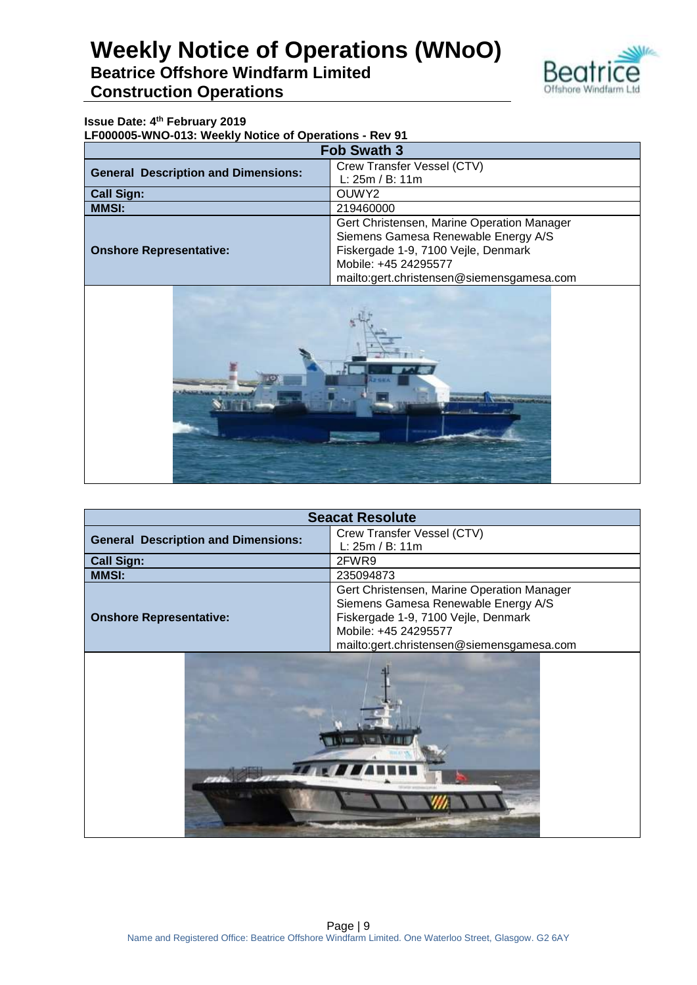

#### **Issue Date: 4th February 2019**

**LF000005-WNO-013: Weekly Notice of Operations - Rev 91**

| <b>Fob Swath 3</b>                         |                                            |  |  |
|--------------------------------------------|--------------------------------------------|--|--|
| <b>General Description and Dimensions:</b> | Crew Transfer Vessel (CTV)                 |  |  |
|                                            | L: 25m / B: 11m                            |  |  |
| <b>Call Sign:</b><br>OUWY <sub>2</sub>     |                                            |  |  |
| <b>MMSI:</b>                               | 219460000                                  |  |  |
|                                            | Gert Christensen, Marine Operation Manager |  |  |
|                                            | Siemens Gamesa Renewable Energy A/S        |  |  |
| <b>Onshore Representative:</b>             | Fiskergade 1-9, 7100 Vejle, Denmark        |  |  |
|                                            | Mobile: +45 24295577                       |  |  |
|                                            | mailto:gert.christensen@siemensgamesa.com  |  |  |



| <b>Seacat Resolute</b>                     |                                            |  |  |  |
|--------------------------------------------|--------------------------------------------|--|--|--|
| <b>General Description and Dimensions:</b> | Crew Transfer Vessel (CTV)                 |  |  |  |
|                                            | L: 25m / B: 11m                            |  |  |  |
| <b>Call Sign:</b>                          | 2FWR9                                      |  |  |  |
| <b>MMSI:</b>                               | 235094873                                  |  |  |  |
|                                            | Gert Christensen, Marine Operation Manager |  |  |  |
|                                            | Siemens Gamesa Renewable Energy A/S        |  |  |  |
| <b>Onshore Representative:</b>             | Fiskergade 1-9, 7100 Vejle, Denmark        |  |  |  |
|                                            | Mobile: +45 24295577                       |  |  |  |
|                                            |                                            |  |  |  |
| mailto:gert.christensen@siemensgamesa.com  |                                            |  |  |  |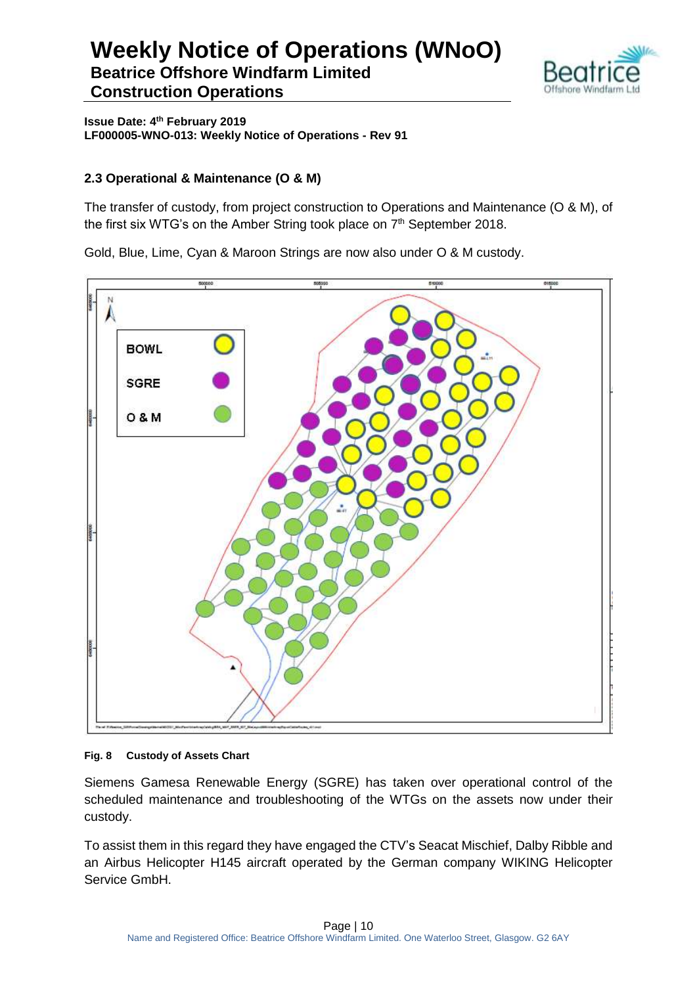

**Issue Date: 4th February 2019 LF000005-WNO-013: Weekly Notice of Operations - Rev 91**

#### **2.3 Operational & Maintenance (O & M)**

The transfer of custody, from project construction to Operations and Maintenance (O & M), of the first six WTG's on the Amber String took place on 7<sup>th</sup> September 2018.

Gold, Blue, Lime, Cyan & Maroon Strings are now also under O & M custody.



#### **Fig. 8 Custody of Assets Chart**

Siemens Gamesa Renewable Energy (SGRE) has taken over operational control of the scheduled maintenance and troubleshooting of the WTGs on the assets now under their custody.

To assist them in this regard they have engaged the CTV's Seacat Mischief, Dalby Ribble and an Airbus Helicopter H145 aircraft operated by the German company WIKING Helicopter Service GmbH.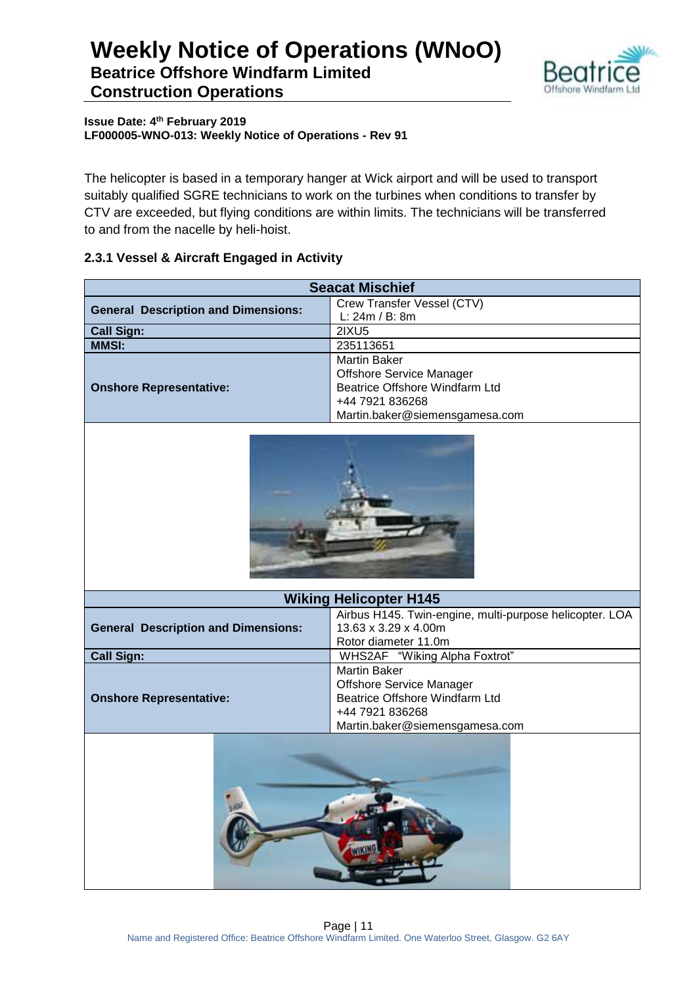

**Issue Date: 4th February 2019 LF000005-WNO-013: Weekly Notice of Operations - Rev 91**

The helicopter is based in a temporary hanger at Wick airport and will be used to transport suitably qualified SGRE technicians to work on the turbines when conditions to transfer by CTV are exceeded, but flying conditions are within limits. The technicians will be transferred to and from the nacelle by heli-hoist.

#### **2.3.1 Vessel & Aircraft Engaged in Activity**

| <b>Seacat Mischief</b>                     |                                                         |  |  |  |
|--------------------------------------------|---------------------------------------------------------|--|--|--|
| <b>General Description and Dimensions:</b> | Crew Transfer Vessel (CTV)                              |  |  |  |
|                                            | L: 24m / B: 8m                                          |  |  |  |
| <b>Call Sign:</b>                          | 2IXU5                                                   |  |  |  |
| <b>MMSI:</b>                               | 235113651                                               |  |  |  |
|                                            | <b>Martin Baker</b>                                     |  |  |  |
|                                            | <b>Offshore Service Manager</b>                         |  |  |  |
| <b>Onshore Representative:</b>             | Beatrice Offshore Windfarm Ltd                          |  |  |  |
|                                            | +44 7921 836268                                         |  |  |  |
|                                            | Martin.baker@siemensgamesa.com                          |  |  |  |
|                                            |                                                         |  |  |  |
|                                            | <b>Wiking Helicopter H145</b>                           |  |  |  |
|                                            | Airbus H145. Twin-engine, multi-purpose helicopter. LOA |  |  |  |
| <b>General Description and Dimensions:</b> | 13.63 x 3.29 x 4.00m                                    |  |  |  |
|                                            | Rotor diameter 11.0m                                    |  |  |  |
| <b>Call Sign:</b>                          | WHS2AF "Wiking Alpha Foxtrot"                           |  |  |  |
|                                            | Martin Baker                                            |  |  |  |
|                                            | <b>Offshore Service Manager</b>                         |  |  |  |
| <b>Onshore Representative:</b>             | Beatrice Offshore Windfarm Ltd                          |  |  |  |
|                                            | +44 7921 836268                                         |  |  |  |
|                                            | Martin.baker@siemensgamesa.com                          |  |  |  |
|                                            |                                                         |  |  |  |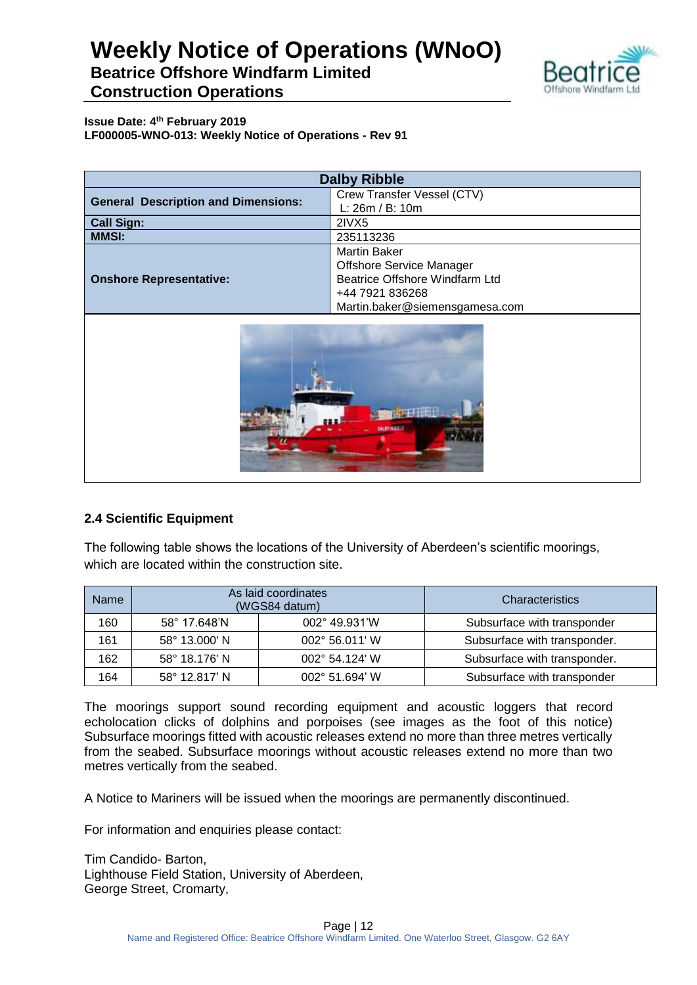

**Issue Date: 4th February 2019 LF000005-WNO-013: Weekly Notice of Operations - Rev 91**

| <b>Dalby Ribble</b>                        |                                                                                                                                               |  |  |
|--------------------------------------------|-----------------------------------------------------------------------------------------------------------------------------------------------|--|--|
| <b>General Description and Dimensions:</b> | Crew Transfer Vessel (CTV)<br>L: 26m / B: 10m                                                                                                 |  |  |
| <b>Call Sign:</b>                          | 2IVX5                                                                                                                                         |  |  |
| <b>MMSI:</b>                               | 235113236                                                                                                                                     |  |  |
| <b>Onshore Representative:</b>             | <b>Martin Baker</b><br><b>Offshore Service Manager</b><br>Beatrice Offshore Windfarm Ltd<br>+44 7921 836268<br>Martin.baker@siemensgamesa.com |  |  |



#### **2.4 Scientific Equipment**

The following table shows the locations of the University of Aberdeen's scientific moorings, which are located within the construction site.

| <b>Name</b> | As laid coordinates<br>(WGS84 datum)     |  | Characteristics              |
|-------------|------------------------------------------|--|------------------------------|
| 160         | 002° 49.931'W<br>58° 17.648'N            |  | Subsurface with transponder  |
| 161         | 58° 13.000' N<br>002° 56.011' W          |  | Subsurface with transponder. |
| 162         | 58° 18.176' N<br>$002^{\circ}$ 54.124' W |  | Subsurface with transponder. |
| 164         | 58° 12.817' N<br>002° 51.694' W          |  | Subsurface with transponder  |

The moorings support sound recording equipment and acoustic loggers that record echolocation clicks of dolphins and porpoises (see images as the foot of this notice) Subsurface moorings fitted with acoustic releases extend no more than three metres vertically from the seabed. Subsurface moorings without acoustic releases extend no more than two metres vertically from the seabed.

A Notice to Mariners will be issued when the moorings are permanently discontinued.

For information and enquiries please contact:

Tim Candido- Barton, Lighthouse Field Station, University of Aberdeen, George Street, Cromarty,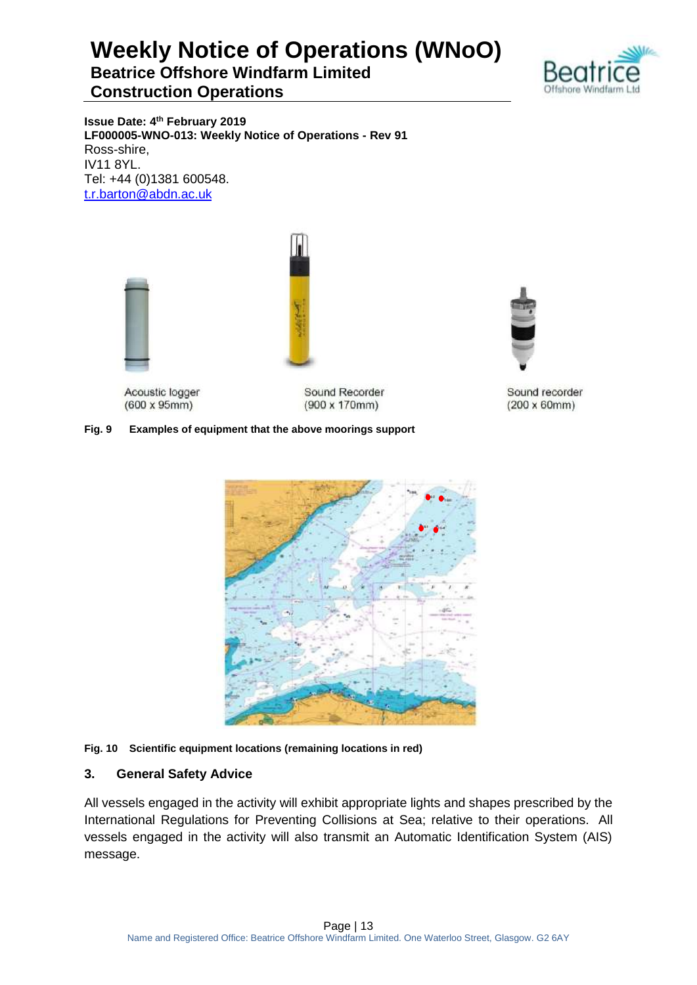

**Issue Date: 4th February 2019 LF000005-WNO-013: Weekly Notice of Operations - Rev 91** Ross-shire, IV11 8YL. Tel: +44 (0)1381 600548. [t.r.barton@abdn.ac.uk](mailto:t.r.barton@abdn.ac.uk)



Acoustic logger  $(600 \times 95 \text{mm})$ 

Sound Recorder  $(900 \times 170$ mm)

#### **Fig. 9 Examples of equipment that the above moorings support**



#### **Fig. 10 Scientific equipment locations (remaining locations in red)**

#### **3. General Safety Advice**

All vessels engaged in the activity will exhibit appropriate lights and shapes prescribed by the International Regulations for Preventing Collisions at Sea; relative to their operations. All vessels engaged in the activity will also transmit an Automatic Identification System (AIS) message.



Sound recorder  $(200 \times 60$ mm $)$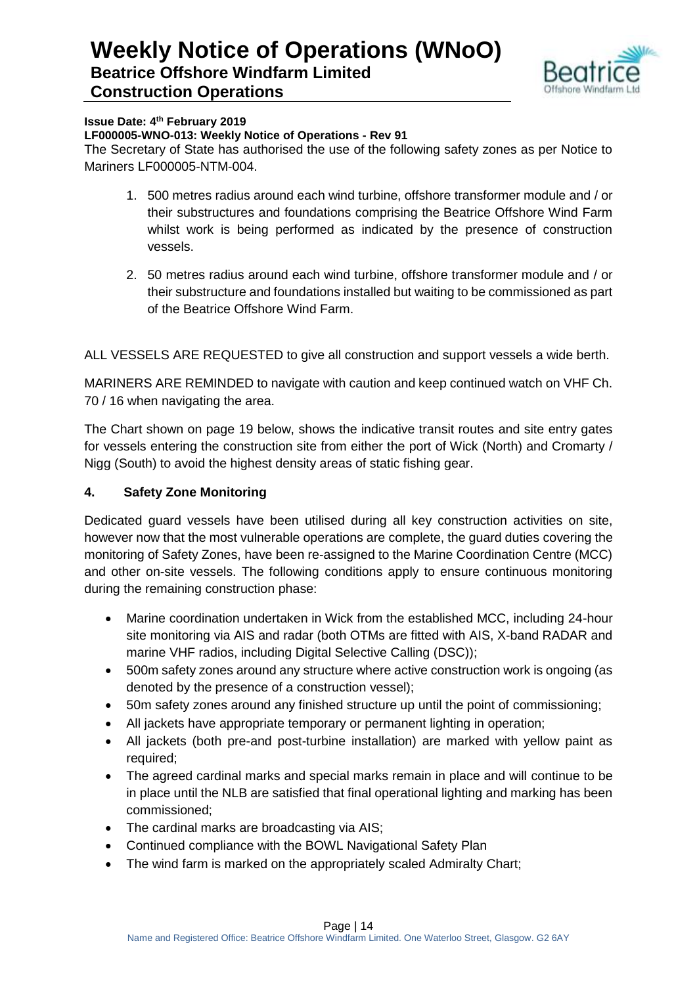

#### **Issue Date: 4th February 2019**

#### **LF000005-WNO-013: Weekly Notice of Operations - Rev 91**

The Secretary of State has authorised the use of the following safety zones as per Notice to Mariners LF000005-NTM-004.

- 1. 500 metres radius around each wind turbine, offshore transformer module and / or their substructures and foundations comprising the Beatrice Offshore Wind Farm whilst work is being performed as indicated by the presence of construction vessels.
- 2. 50 metres radius around each wind turbine, offshore transformer module and / or their substructure and foundations installed but waiting to be commissioned as part of the Beatrice Offshore Wind Farm.

ALL VESSELS ARE REQUESTED to give all construction and support vessels a wide berth.

MARINERS ARE REMINDED to navigate with caution and keep continued watch on VHF Ch. 70 / 16 when navigating the area.

The Chart shown on page 19 below, shows the indicative transit routes and site entry gates for vessels entering the construction site from either the port of Wick (North) and Cromarty / Nigg (South) to avoid the highest density areas of static fishing gear.

#### **4. Safety Zone Monitoring**

Dedicated guard vessels have been utilised during all key construction activities on site, however now that the most vulnerable operations are complete, the guard duties covering the monitoring of Safety Zones, have been re-assigned to the Marine Coordination Centre (MCC) and other on-site vessels. The following conditions apply to ensure continuous monitoring during the remaining construction phase:

- Marine coordination undertaken in Wick from the established MCC, including 24-hour site monitoring via AIS and radar (both OTMs are fitted with AIS, X-band RADAR and marine VHF radios, including Digital Selective Calling (DSC));
- 500m safety zones around any structure where active construction work is ongoing (as denoted by the presence of a construction vessel);
- 50m safety zones around any finished structure up until the point of commissioning;
- All jackets have appropriate temporary or permanent lighting in operation;
- All jackets (both pre-and post-turbine installation) are marked with yellow paint as required;
- The agreed cardinal marks and special marks remain in place and will continue to be in place until the NLB are satisfied that final operational lighting and marking has been commissioned;
- The cardinal marks are broadcasting via AIS;
- Continued compliance with the BOWL Navigational Safety Plan
- The wind farm is marked on the appropriately scaled Admiralty Chart;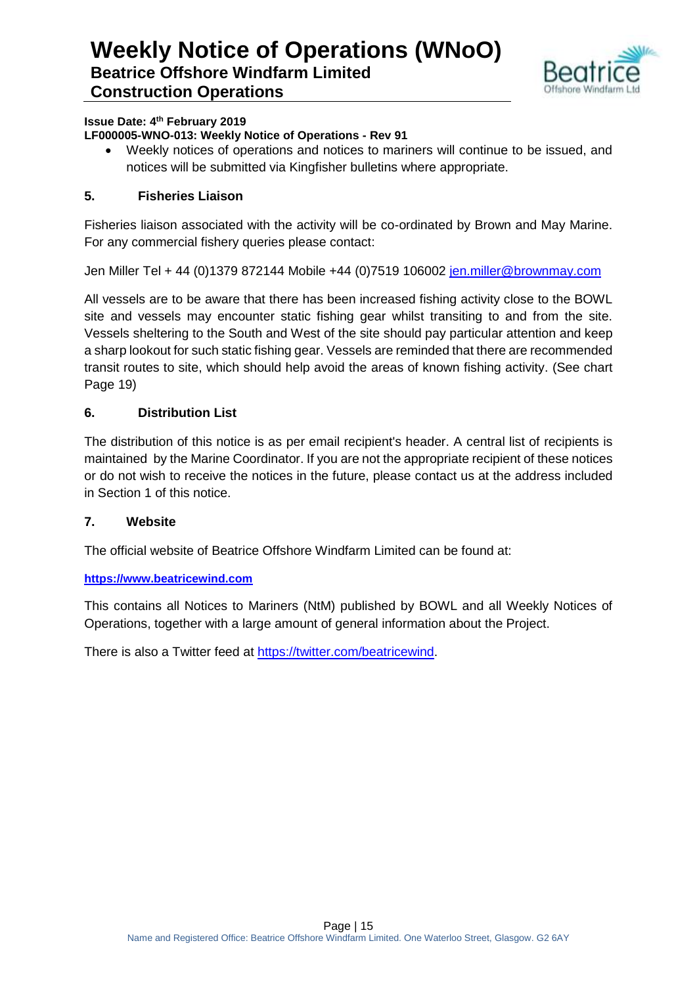

#### **Issue Date: 4th February 2019**

#### **LF000005-WNO-013: Weekly Notice of Operations - Rev 91**

 Weekly notices of operations and notices to mariners will continue to be issued, and notices will be submitted via Kingfisher bulletins where appropriate.

#### **5. Fisheries Liaison**

Fisheries liaison associated with the activity will be co-ordinated by Brown and May Marine. For any commercial fishery queries please contact:

Jen Miller Tel + 44 (0)1379 872144 Mobile +44 (0)7519 106002 [jen.miller@brownmay.com](mailto:jen.miller@brownmay.com)

All vessels are to be aware that there has been increased fishing activity close to the BOWL site and vessels may encounter static fishing gear whilst transiting to and from the site. Vessels sheltering to the South and West of the site should pay particular attention and keep a sharp lookout for such static fishing gear. Vessels are reminded that there are recommended transit routes to site, which should help avoid the areas of known fishing activity. (See chart Page 19)

#### **6. Distribution List**

The distribution of this notice is as per email recipient's header. A central list of recipients is maintained by the Marine Coordinator. If you are not the appropriate recipient of these notices or do not wish to receive the notices in the future, please contact us at the address included in Section 1 of this notice.

#### **7. Website**

The official website of Beatrice Offshore Windfarm Limited can be found at:

#### **[https://www.beatricewind.com](https://www.beatricewind.com/)**

This contains all Notices to Mariners (NtM) published by BOWL and all Weekly Notices of Operations, together with a large amount of general information about the Project.

There is also a Twitter feed at [https://twitter.com/beatricewind.](https://twitter.com/beatricewind)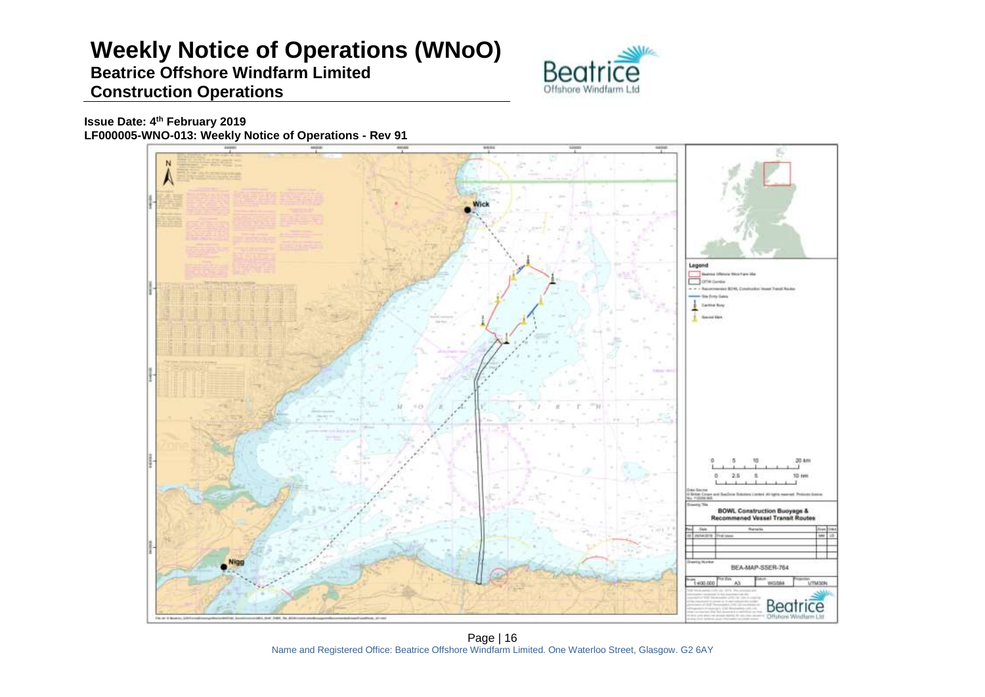# **Weekly Notice of Operations (WNoO)**

### **Beatrice Offshore Windfarm Limited Construction Operations**



**Issue Date: 4th February 2019 LF000005-WNO-013: Weekly Notice of Operations - Rev 91**



Page | 16 Name and Registered Office: Beatrice Offshore Windfarm Limited. One Waterloo Street, Glasgow. G2 6AY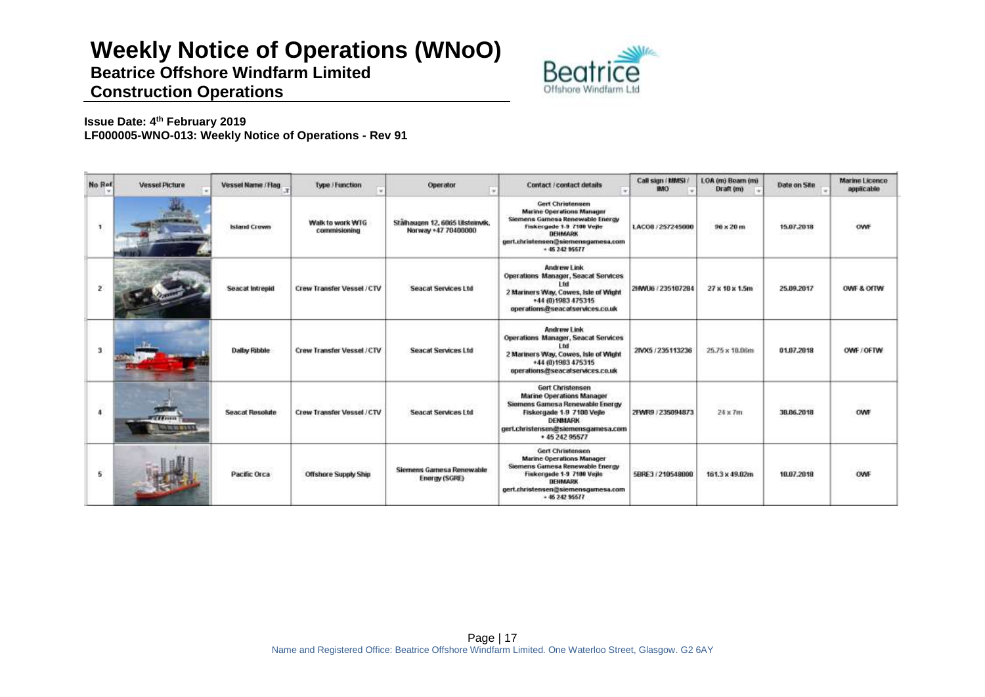# **Weekly Notice of Operations (WNoO)**

**Beatrice Offshore Windfarm Limited**



### **Construction Operations**

#### **Issue Date: 4th February 2019 LF000005-WNO-013: Weekly Notice of Operations - Rev 91**

| No Rof               | <b>Vessel Picture</b> | Vessel Name / Flag.    | Type / Function                  | Operator                                               | Contact / contact details                                                                                                                                                                                 | Call sign (MMSI)<br><b>IMO</b> | LOA (m) Beam (m)<br>Draft (m) | Date on Site | <b>Marine Licence</b><br>applicable |
|----------------------|-----------------------|------------------------|----------------------------------|--------------------------------------------------------|-----------------------------------------------------------------------------------------------------------------------------------------------------------------------------------------------------------|--------------------------------|-------------------------------|--------------|-------------------------------------|
| 1                    |                       | <b>Island Crown</b>    | Walk to work WTG<br>commisioning | Stälhaugen 12, 6065 Ulsteinvik,<br>Norway +47 70400000 | <b>Gert Christensen</b><br><b>Marine Operations Manager</b><br>Siemens Gamese Renewable Energy<br>Fiskergade 1-9 7100 Vejle<br>DENMARK<br>gert.christensen@siemensgamesa.com<br>$+ 4524295577$            | LACO8 / 257245000              | $96 \times 20$ m              | 15.07.2018   |                                     |
| 2                    |                       | Seacat Intrepid        | Crew Transfer Vessel / CTV       | <b>Seacat Services Ltd</b>                             | Andrew Link<br>Operations Manager, Seacat Services<br>l fri<br>2 Mariners Way, Cowes, Isle of Wight<br>+44 (0) 1983 475315<br>operations@seacatservices.co.uk                                             | 2HWU6 / 235107284              | $27 \times 10 \times 1.5m$    | 25.09.2017   | OWE & OITW                          |
| 31                   |                       | Dalby Ribble           | Crew Transfer Vessel / CTV       | <b>Seacat Services Ltd</b>                             | Andrew Link<br><b>Operations Manager, Seacat Services</b><br>l tri<br>2 Mariners Way, Cowes, Isle of Wight<br>+44 (0) 1983 475315<br>operations@seacatservices.co.uk                                      | 2IVX5 / 235113236              | 25.75 x 10.06m                | 01.07.2018   | OWE / OFTW                          |
| $\ddot{\phantom{a}}$ | <b>TAILER</b><br>.    | <b>Seacat Resolute</b> | Crew Transfer Vessel / CTV       | Seacat Services Ltd                                    | Gert Christensen<br><b>Marine Operations Manager</b><br>Siemens Gamesa Renewable Energy<br>Fiskergade 1-9 7100 Veile<br><b>DENMARK</b><br>gert.christensen@siemensgamesa.com<br>+ 45 242 95577            | 2FWF0 / 235094873              | neben<br>$24 \times 7m$       | 38, 86, 2018 | OWF                                 |
| 5.                   |                       | Pacific Orca           | <b>Offshore Supply Ship</b>      | Siemens Gamesa Renewable<br>Energy (SGRE)              | <b>Gert Christensen</b><br><b>Marine Operations Manager</b><br>Siemens Gamesa Renewable Energy<br>Fiskergade 1-9 7100 Vejle<br><b>DENMARK</b><br>gert.christensen@siemensgamesa.com<br>$+ 46, 242, 95577$ | 5BRE3 / 210548000              | 161.3 x 49.02m                | 10.07.2018   | OWF                                 |